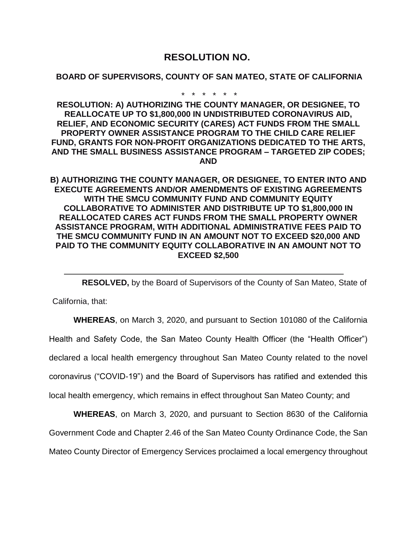## **RESOLUTION NO.**

## **BOARD OF SUPERVISORS, COUNTY OF SAN MATEO, STATE OF CALIFORNIA**

\* \* \* \* \* \*

**RESOLUTION: A) AUTHORIZING THE COUNTY MANAGER, OR DESIGNEE, TO REALLOCATE UP TO \$1,800,000 IN UNDISTRIBUTED CORONAVIRUS AID, RELIEF, AND ECONOMIC SECURITY (CARES) ACT FUNDS FROM THE SMALL PROPERTY OWNER ASSISTANCE PROGRAM TO THE CHILD CARE RELIEF FUND, GRANTS FOR NON-PROFIT ORGANIZATIONS DEDICATED TO THE ARTS, AND THE SMALL BUSINESS ASSISTANCE PROGRAM – TARGETED ZIP CODES; AND**

**B) AUTHORIZING THE COUNTY MANAGER, OR DESIGNEE, TO ENTER INTO AND EXECUTE AGREEMENTS AND/OR AMENDMENTS OF EXISTING AGREEMENTS WITH THE SMCU COMMUNITY FUND AND COMMUNITY EQUITY COLLABORATIVE TO ADMINISTER AND DISTRIBUTE UP TO \$1,800,000 IN REALLOCATED CARES ACT FUNDS FROM THE SMALL PROPERTY OWNER ASSISTANCE PROGRAM, WITH ADDITIONAL ADMINISTRATIVE FEES PAID TO THE SMCU COMMUNITY FUND IN AN AMOUNT NOT TO EXCEED \$20,000 AND PAID TO THE COMMUNITY EQUITY COLLABORATIVE IN AN AMOUNT NOT TO EXCEED \$2,500**

**RESOLVED,** by the Board of Supervisors of the County of San Mateo, State of

California, that:

**WHEREAS**, on March 3, 2020, and pursuant to Section 101080 of the California Health and Safety Code, the San Mateo County Health Officer (the "Health Officer") declared a local health emergency throughout San Mateo County related to the novel coronavirus ("COVID-19") and the Board of Supervisors has ratified and extended this local health emergency, which remains in effect throughout San Mateo County; and

**WHEREAS**, on March 3, 2020, and pursuant to Section 8630 of the California Government Code and Chapter 2.46 of the San Mateo County Ordinance Code, the San Mateo County Director of Emergency Services proclaimed a local emergency throughout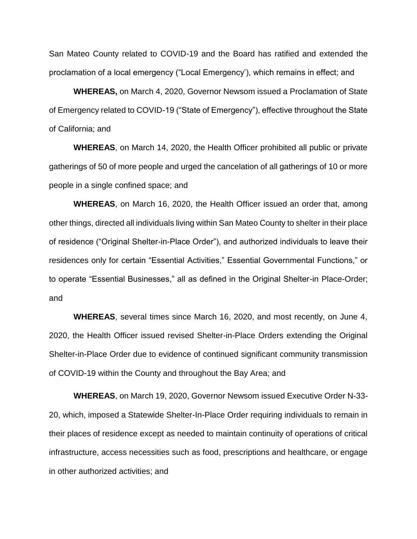San Mateo County related to COVID-19 and the Board has ratified and extended the proclamation of a local emergency ("Local Emergency'), which remains in effect; and

**WHEREAS,** on March 4, 2020, Governor Newsom issued a Proclamation of State of Emergency related to COVID-19 ("State of Emergency"), effective throughout the State of California; and

**WHEREAS**, on March 14, 2020, the Health Officer prohibited all public or private gatherings of 50 of more people and urged the cancelation of all gatherings of 10 or more people in a single confined space; and

**WHEREAS**, on March 16, 2020, the Health Officer issued an order that, among other things, directed all individuals living within San Mateo County to shelter in their place of residence ("Original Shelter-in-Place Order"), and authorized individuals to leave their residences only for certain "Essential Activities," Essential Governmental Functions," or to operate "Essential Businesses," all as defined in the Original Shelter-in Place-Order; and

**WHEREAS**, several times since March 16, 2020, and most recently, on June 4, 2020, the Health Officer issued revised Shelter-in-Place Orders extending the Original Shelter-in-Place Order due to evidence of continued significant community transmission of COVID-19 within the County and throughout the Bay Area; and

**WHEREAS**, on March 19, 2020, Governor Newsom issued Executive Order N-33- 20, which, imposed a Statewide Shelter-In-Place Order requiring individuals to remain in their places of residence except as needed to maintain continuity of operations of critical infrastructure, access necessities such as food, prescriptions and healthcare, or engage in other authorized activities; and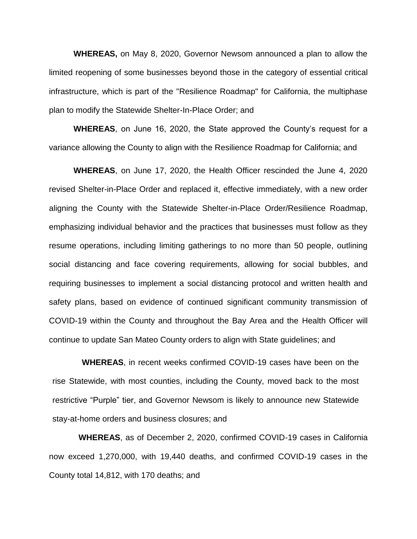**WHEREAS,** on May 8, 2020, Governor Newsom announced a plan to allow the limited reopening of some businesses beyond those in the category of essential critical infrastructure, which is part of the "Resilience Roadmap" for California, the multiphase plan to modify the Statewide Shelter-In-Place Order; and

**WHEREAS**, on June 16, 2020, the State approved the County's request for a variance allowing the County to align with the Resilience Roadmap for California; and

**WHEREAS**, on June 17, 2020, the Health Officer rescinded the June 4, 2020 revised Shelter-in-Place Order and replaced it, effective immediately, with a new order aligning the County with the Statewide Shelter-in-Place Order/Resilience Roadmap, emphasizing individual behavior and the practices that businesses must follow as they resume operations, including limiting gatherings to no more than 50 people, outlining social distancing and face covering requirements, allowing for social bubbles, and requiring businesses to implement a social distancing protocol and written health and safety plans, based on evidence of continued significant community transmission of COVID-19 within the County and throughout the Bay Area and the Health Officer will continue to update San Mateo County orders to align with State guidelines; and

**WHEREAS**, in recent weeks confirmed COVID-19 cases have been on the rise Statewide, with most counties, including the County, moved back to the most restrictive "Purple" tier, and Governor Newsom is likely to announce new Statewide stay-at-home orders and business closures; and

**WHEREAS**, as of December 2, 2020, confirmed COVID-19 cases in California now exceed 1,270,000, with 19,440 deaths, and confirmed COVID-19 cases in the County total 14,812, with 170 deaths; and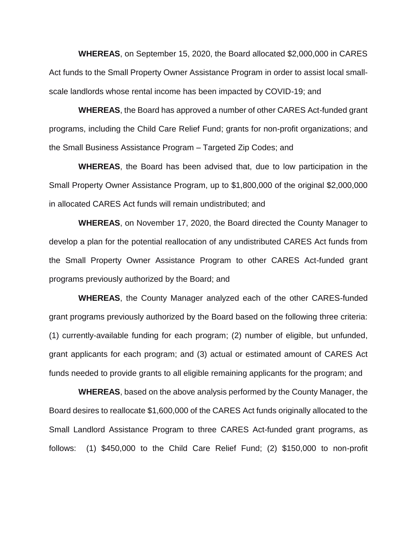**WHEREAS**, on September 15, 2020, the Board allocated \$2,000,000 in CARES Act funds to the Small Property Owner Assistance Program in order to assist local smallscale landlords whose rental income has been impacted by COVID-19; and

**WHEREAS**, the Board has approved a number of other CARES Act-funded grant programs, including the Child Care Relief Fund; grants for non-profit organizations; and the Small Business Assistance Program – Targeted Zip Codes; and

**WHEREAS**, the Board has been advised that, due to low participation in the Small Property Owner Assistance Program, up to \$1,800,000 of the original \$2,000,000 in allocated CARES Act funds will remain undistributed; and

**WHEREAS**, on November 17, 2020, the Board directed the County Manager to develop a plan for the potential reallocation of any undistributed CARES Act funds from the Small Property Owner Assistance Program to other CARES Act-funded grant programs previously authorized by the Board; and

**WHEREAS**, the County Manager analyzed each of the other CARES-funded grant programs previously authorized by the Board based on the following three criteria: (1) currently-available funding for each program; (2) number of eligible, but unfunded, grant applicants for each program; and (3) actual or estimated amount of CARES Act funds needed to provide grants to all eligible remaining applicants for the program; and

**WHEREAS**, based on the above analysis performed by the County Manager, the Board desires to reallocate \$1,600,000 of the CARES Act funds originally allocated to the Small Landlord Assistance Program to three CARES Act-funded grant programs, as follows: (1) \$450,000 to the Child Care Relief Fund; (2) \$150,000 to non-profit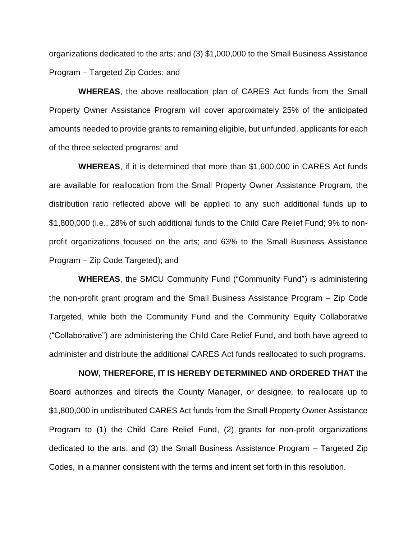organizations dedicated to the arts; and (3) \$1,000,000 to the Small Business Assistance Program – Targeted Zip Codes; and

**WHEREAS**, the above reallocation plan of CARES Act funds from the Small Property Owner Assistance Program will cover approximately 25% of the anticipated amounts needed to provide grants to remaining eligible, but unfunded, applicants for each of the three selected programs; and

**WHEREAS**, if it is determined that more than \$1,600,000 in CARES Act funds are available for reallocation from the Small Property Owner Assistance Program, the distribution ratio reflected above will be applied to any such additional funds up to \$1,800,000 (i.e., 28% of such additional funds to the Child Care Relief Fund; 9% to nonprofit organizations focused on the arts; and 63% to the Small Business Assistance Program – Zip Code Targeted); and

**WHEREAS**, the SMCU Community Fund ("Community Fund") is administering the non-profit grant program and the Small Business Assistance Program – Zip Code Targeted, while both the Community Fund and the Community Equity Collaborative ("Collaborative") are administering the Child Care Relief Fund, and both have agreed to administer and distribute the additional CARES Act funds reallocated to such programs.

**NOW, THEREFORE, IT IS HEREBY DETERMINED AND ORDERED THAT** the Board authorizes and directs the County Manager, or designee, to reallocate up to \$1,800,000 in undistributed CARES Act funds from the Small Property Owner Assistance Program to (1) the Child Care Relief Fund, (2) grants for non-profit organizations dedicated to the arts, and (3) the Small Business Assistance Program – Targeted Zip Codes, in a manner consistent with the terms and intent set forth in this resolution.